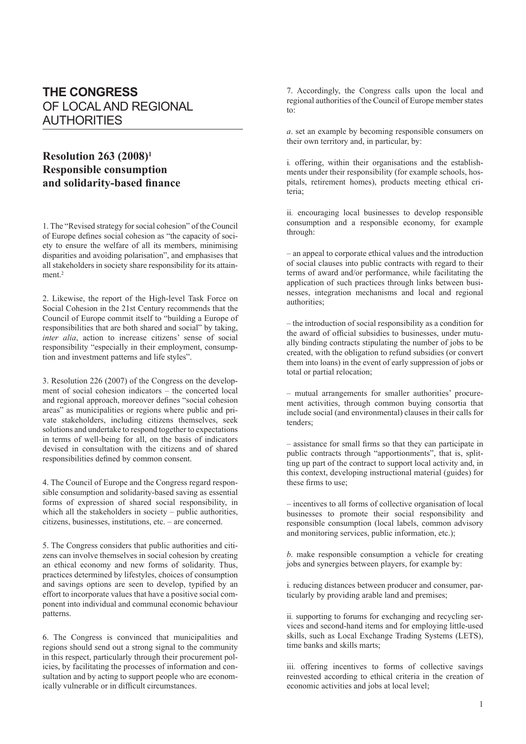## **THE CONGRESS** OF LOCAL AND REGIONAL AUTHORITIES

## **Resolution 263 (2008)1 Responsible consumption and solidarity-based finance**

1. The "Revised strategy for social cohesion" of the Council of Europe defines social cohesion as "the capacity of society to ensure the welfare of all its members, minimising disparities and avoiding polarisation", and emphasises that all stakeholders in society share responsibility for its attainment.<sup>2</sup>

2. Likewise, the report of the High-level Task Force on Social Cohesion in the 21st Century recommends that the Council of Europe commit itself to "building a Europe of responsibilities that are both shared and social" by taking, *inter alia*, action to increase citizens' sense of social responsibility "especially in their employment, consumption and investment patterns and life styles".

3. Resolution 226 (2007) of the Congress on the development of social cohesion indicators – the concerted local and regional approach, moreover defines "social cohesion areas" as municipalities or regions where public and private stakeholders, including citizens themselves, seek solutions and undertake to respond together to expectations in terms of well-being for all, on the basis of indicators devised in consultation with the citizens and of shared responsibilities defined by common consent.

4. The Council of Europe and the Congress regard responsible consumption and solidarity-based saving as essential forms of expression of shared social responsibility, in which all the stakeholders in society – public authorities, citizens, businesses, institutions, etc. – are concerned.

5. The Congress considers that public authorities and citizens can involve themselves in social cohesion by creating an ethical economy and new forms of solidarity. Thus, practices determined by lifestyles, choices of consumption and savings options are seen to develop, typified by an effort to incorporate values that have a positive social component into individual and communal economic behaviour patterns.

6. The Congress is convinced that municipalities and regions should send out a strong signal to the community in this respect, particularly through their procurement policies, by facilitating the processes of information and consultation and by acting to support people who are economically vulnerable or in difficult circumstances.

7. Accordingly, the Congress calls upon the local and regional authorities of the Council of Europe member states to:

*a*. set an example by becoming responsible consumers on their own territory and, in particular, by:

i*.* offering, within their organisations and the establishments under their responsibility (for example schools, hospitals, retirement homes), products meeting ethical criteria;

ii*.* encouraging local businesses to develop responsible consumption and a responsible economy, for example through:

– an appeal to corporate ethical values and the introduction of social clauses into public contracts with regard to their terms of award and/or performance, while facilitating the application of such practices through links between businesses, integration mechanisms and local and regional authorities;

– the introduction of social responsibility as a condition for the award of official subsidies to businesses, under mutually binding contracts stipulating the number of jobs to be created, with the obligation to refund subsidies (or convert them into loans) in the event of early suppression of jobs or total or partial relocation;

– mutual arrangements for smaller authorities' procurement activities, through common buying consortia that include social (and environmental) clauses in their calls for tenders;

– assistance for small firms so that they can participate in public contracts through "apportionments", that is, splitting up part of the contract to support local activity and, in this context, developing instructional material (guides) for these firms to use;

– incentives to all forms of collective organisation of local businesses to promote their social responsibility and responsible consumption (local labels, common advisory and monitoring services, public information, etc.);

*b*. make responsible consumption a vehicle for creating jobs and synergies between players, for example by:

i*.* reducing distances between producer and consumer, particularly by providing arable land and premises;

ii*.* supporting to forums for exchanging and recycling services and second-hand items and for employing little-used skills, such as Local Exchange Trading Systems (LETS), time banks and skills marts;

iii*.* offering incentives to forms of collective savings reinvested according to ethical criteria in the creation of economic activities and jobs at local level;